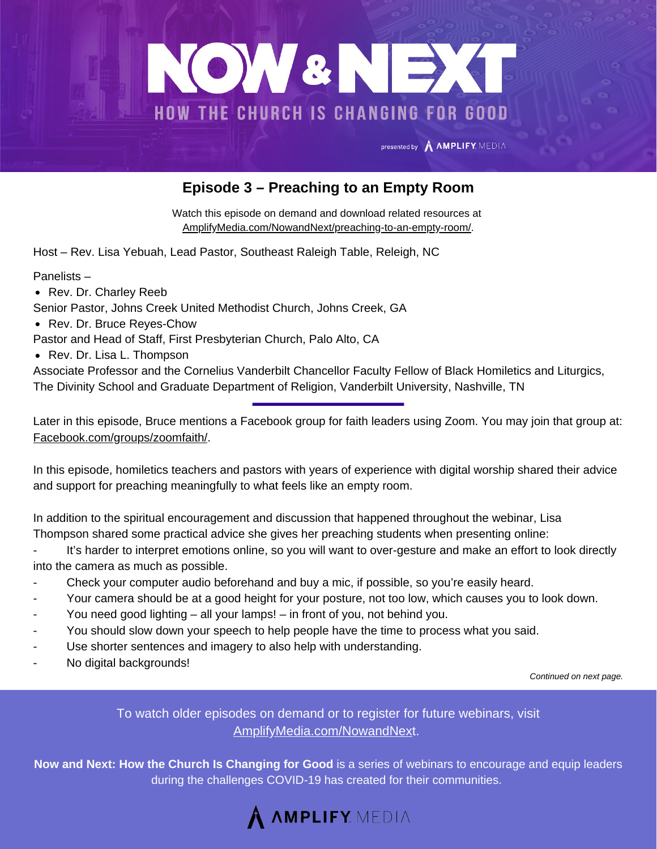

## **Episode 3 – Preaching to an Empty Room**

Watch this episode on demand and download related resources at [AmplifyMedia.com/NowandNext/preaching-to-an-empty-room/](https://amplifymedia.com/nowandnext/preaching-to-an-empty-room/).

Host – Rev. Lisa Yebuah, Lead Pastor, Southeast Raleigh Table, Releigh, NC

Panelists –

• Rev. Dr. Charley Reeb

Senior Pastor, Johns Creek United Methodist Church, Johns Creek, GA

• Rev. Dr. Bruce Reyes-Chow

Pastor and Head of Staff, First Presbyterian Church, Palo Alto, CA

• Rev. Dr. Lisa L. Thompson

Associate Professor and the Cornelius Vanderbilt Chancellor Faculty Fellow of Black Homiletics and Liturgics, The Divinity School and Graduate Department of Religion, Vanderbilt University, Nashville, TN

Later in this episode, Bruce mentions a Facebook group for faith leaders using Zoom. You may join that group at: [Facebook.com/groups/zoomfaith/.](https://www.facebook.com/groups/zoomfaith/)

In this episode, homiletics teachers and pastors with years of experience with digital worship shared their advice and support for preaching meaningfully to what feels like an empty room.

In addition to the spiritual encouragement and discussion that happened throughout the webinar, Lisa Thompson shared some practical advice she gives her preaching students when presenting online:

- It's harder to interpret emotions online, so you will want to over-gesture and make an effort to look directly into the camera as much as possible.
- Check your computer audio beforehand and buy a mic, if possible, so you're easily heard.
- Your camera should be at a good height for your posture, not too low, which causes you to look down.
- You need good lighting all your lamps! in front of you, not behind you.
- You should slow down your speech to help people have the time to process what you said.
- Use shorter sentences and imagery to also help with understanding.
- No digital backgrounds!

*Continued on next page.*

To watch older episodes on demand or to register for future webinars, visit [AmplifyMedia.com/NowandNex](https://amplifymedia.com/nowandnext/)t.

**Now and Next: How the Church Is Changing for Good** is a series of webinars to encourage and equip leaders during the challenges COVID-19 has created for their communities.